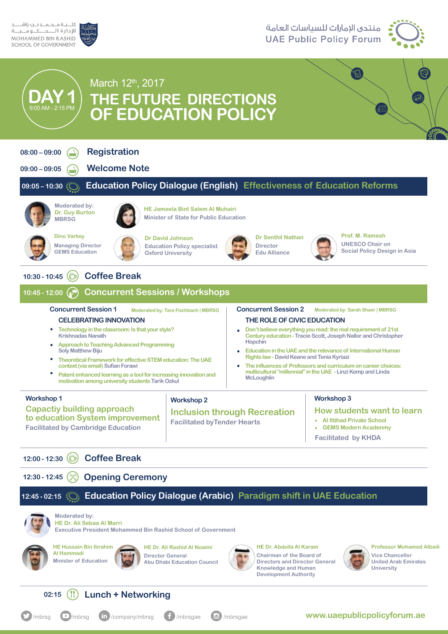

### منتدى الإمارات للسياسات العامة **UAE Public Policy Forum**